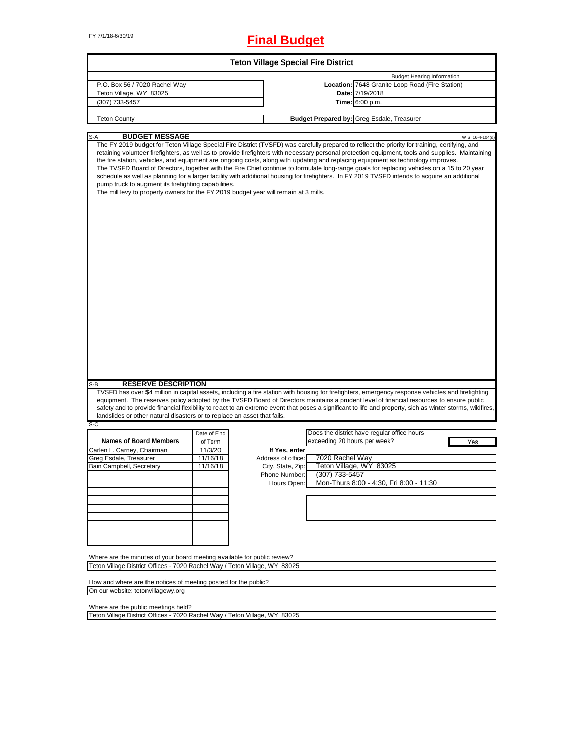# FY 7/1/18-6/30/19 **Final Budget**

| <b>Teton Village Special Fire District</b>                                                                                                   |             |                    |                              |                                                                                                                                                                                                                                                                                                                                                                                                                                                                                                                                                                                                                                                                                                                                            |  |
|----------------------------------------------------------------------------------------------------------------------------------------------|-------------|--------------------|------------------------------|--------------------------------------------------------------------------------------------------------------------------------------------------------------------------------------------------------------------------------------------------------------------------------------------------------------------------------------------------------------------------------------------------------------------------------------------------------------------------------------------------------------------------------------------------------------------------------------------------------------------------------------------------------------------------------------------------------------------------------------------|--|
|                                                                                                                                              |             |                    |                              | <b>Budget Hearing Information</b>                                                                                                                                                                                                                                                                                                                                                                                                                                                                                                                                                                                                                                                                                                          |  |
| P.O. Box 56 / 7020 Rachel Way                                                                                                                |             |                    |                              | Location: 7648 Granite Loop Road (Fire Station)                                                                                                                                                                                                                                                                                                                                                                                                                                                                                                                                                                                                                                                                                            |  |
| Teton Village, WY 83025                                                                                                                      |             |                    |                              | Date: 7/19/2018                                                                                                                                                                                                                                                                                                                                                                                                                                                                                                                                                                                                                                                                                                                            |  |
| (307) 733-5457                                                                                                                               |             |                    |                              | <b>Time:</b> 6:00 p.m.                                                                                                                                                                                                                                                                                                                                                                                                                                                                                                                                                                                                                                                                                                                     |  |
|                                                                                                                                              |             |                    |                              |                                                                                                                                                                                                                                                                                                                                                                                                                                                                                                                                                                                                                                                                                                                                            |  |
| <b>Teton County</b>                                                                                                                          |             |                    |                              | <b>Budget Prepared by: Greg Esdale, Treasurer</b>                                                                                                                                                                                                                                                                                                                                                                                                                                                                                                                                                                                                                                                                                          |  |
| <b>BUDGET MESSAGE</b><br>S-A                                                                                                                 |             |                    |                              | W.S. 16-4-104(d)                                                                                                                                                                                                                                                                                                                                                                                                                                                                                                                                                                                                                                                                                                                           |  |
| pump truck to augment its firefighting capabilities.<br>The mill levy to property owners for the FY 2019 budget year will remain at 3 mills. |             |                    |                              | The FY 2019 budget for Teton Village Special Fire District (TVSFD) was carefully prepared to reflect the priority for training, certifying, and<br>retaining volunteer firefighters, as well as to provide firefighters with necessary personal protection equipment, tools and supplies. Maintaining<br>the fire station, vehicles, and equipment are ongoing costs, along with updating and replacing equipment as technology improves.<br>The TVSFD Board of Directors, together with the Fire Chief continue to formulate long-range goals for replacing vehicles on a 15 to 20 year<br>schedule as well as planning for a larger facility with additional housing for firefighters. In FY 2019 TVSFD intends to acquire an additional |  |
| <b>RESERVE DESCRIPTION</b><br>S-B                                                                                                            |             |                    |                              |                                                                                                                                                                                                                                                                                                                                                                                                                                                                                                                                                                                                                                                                                                                                            |  |
| landslides or other natural disasters or to replace an asset that fails.                                                                     |             |                    |                              | TVSFD has over \$4 million in capital assets, including a fire station with housing for firefighters, emergency response vehicles and firefighting<br>equipment. The reserves policy adopted by the TVSFD Board of Directors maintains a prudent level of financial resources to ensure public<br>safety and to provide financial flexibility to react to an extreme event that poses a significant to life and property, sich as winter storms, wildfires,                                                                                                                                                                                                                                                                                |  |
| $S-C$                                                                                                                                        | Date of End |                    |                              | Does the district have regular office hours                                                                                                                                                                                                                                                                                                                                                                                                                                                                                                                                                                                                                                                                                                |  |
| <b>Names of Board Members</b>                                                                                                                | of Term     |                    | exceeding 20 hours per week? | Yes                                                                                                                                                                                                                                                                                                                                                                                                                                                                                                                                                                                                                                                                                                                                        |  |
| Carlen L. Carney, Chairman                                                                                                                   | 11/3/20     | If Yes, enter      |                              |                                                                                                                                                                                                                                                                                                                                                                                                                                                                                                                                                                                                                                                                                                                                            |  |
| Greg Esdale, Treasurer                                                                                                                       | 11/16/18    | Address of office: | 7020 Rachel Way              |                                                                                                                                                                                                                                                                                                                                                                                                                                                                                                                                                                                                                                                                                                                                            |  |
| Bain Campbell, Secretary                                                                                                                     | 11/16/18    | City, State, Zip:  |                              | Teton Village, WY 83025                                                                                                                                                                                                                                                                                                                                                                                                                                                                                                                                                                                                                                                                                                                    |  |
|                                                                                                                                              |             | Phone Number:      | (307) 733-5457               |                                                                                                                                                                                                                                                                                                                                                                                                                                                                                                                                                                                                                                                                                                                                            |  |
|                                                                                                                                              |             | Hours Open:        |                              | Mon-Thurs 8:00 - 4:30, Fri 8:00 - 11:30                                                                                                                                                                                                                                                                                                                                                                                                                                                                                                                                                                                                                                                                                                    |  |
|                                                                                                                                              |             |                    |                              |                                                                                                                                                                                                                                                                                                                                                                                                                                                                                                                                                                                                                                                                                                                                            |  |
|                                                                                                                                              |             |                    |                              |                                                                                                                                                                                                                                                                                                                                                                                                                                                                                                                                                                                                                                                                                                                                            |  |
|                                                                                                                                              |             |                    |                              |                                                                                                                                                                                                                                                                                                                                                                                                                                                                                                                                                                                                                                                                                                                                            |  |
|                                                                                                                                              |             |                    |                              |                                                                                                                                                                                                                                                                                                                                                                                                                                                                                                                                                                                                                                                                                                                                            |  |
|                                                                                                                                              |             |                    |                              |                                                                                                                                                                                                                                                                                                                                                                                                                                                                                                                                                                                                                                                                                                                                            |  |
|                                                                                                                                              |             |                    |                              |                                                                                                                                                                                                                                                                                                                                                                                                                                                                                                                                                                                                                                                                                                                                            |  |
|                                                                                                                                              |             |                    |                              |                                                                                                                                                                                                                                                                                                                                                                                                                                                                                                                                                                                                                                                                                                                                            |  |
|                                                                                                                                              |             |                    |                              |                                                                                                                                                                                                                                                                                                                                                                                                                                                                                                                                                                                                                                                                                                                                            |  |
| Where are the minutes of your board meeting available for public review?                                                                     |             |                    |                              |                                                                                                                                                                                                                                                                                                                                                                                                                                                                                                                                                                                                                                                                                                                                            |  |
| Teton Village District Offices - 7020 Rachel Way / Teton Village, WY 83025                                                                   |             |                    |                              |                                                                                                                                                                                                                                                                                                                                                                                                                                                                                                                                                                                                                                                                                                                                            |  |
|                                                                                                                                              |             |                    |                              |                                                                                                                                                                                                                                                                                                                                                                                                                                                                                                                                                                                                                                                                                                                                            |  |
| How and where are the notices of meeting posted for the public?                                                                              |             |                    |                              |                                                                                                                                                                                                                                                                                                                                                                                                                                                                                                                                                                                                                                                                                                                                            |  |
| On our website: tetonvillagewy.org                                                                                                           |             |                    |                              |                                                                                                                                                                                                                                                                                                                                                                                                                                                                                                                                                                                                                                                                                                                                            |  |

٦

On our website: tetonvillagewy.org

Where are the public meetings held?

Teton Village District Offices - 7020 Rachel Way / Teton Village, WY 83025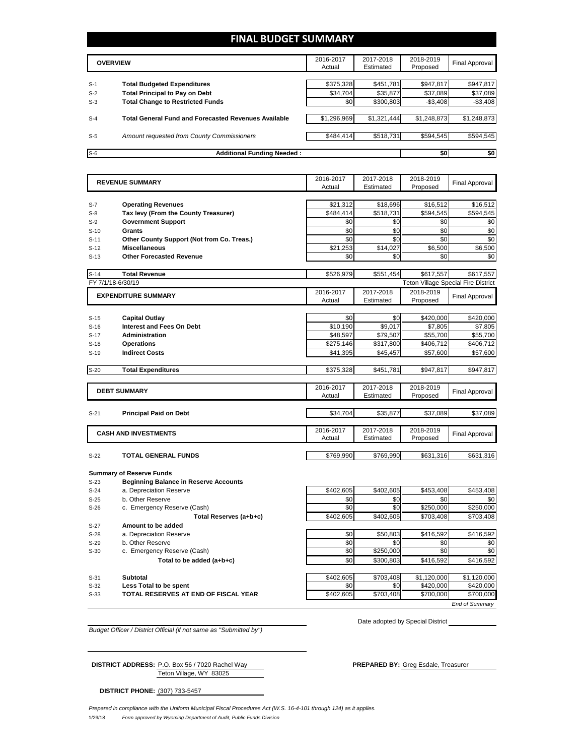## **FINAL BUDGET SUMMARY**

|       | <b>OVERVIEW</b>                                             | 2016-2017<br>Actual | 2017-2018<br>Estimated | 2018-2019<br>Proposed | Final Approval |
|-------|-------------------------------------------------------------|---------------------|------------------------|-----------------------|----------------|
| $S-1$ | <b>Total Budgeted Expenditures</b>                          | \$375,328           | \$451,781              | \$947,817             | \$947,817      |
| $S-2$ | <b>Total Principal to Pay on Debt</b>                       | \$34,704            | \$35,877               | \$37,089              | \$37,089       |
| $S-3$ | <b>Total Change to Restricted Funds</b>                     | \$0                 | \$300,803              | $-$ \$3,408           | $-$3,408$      |
| $S-4$ | <b>Total General Fund and Forecasted Revenues Available</b> | \$1,296,969         | \$1,321,444            | \$1,248,873           | \$1,248,873    |
| $S-5$ | Amount requested from County Commissioners                  | \$484,414           | \$518,731              | \$594,545             | \$594,545      |
| $S-6$ | <b>Additional Funding Needed:</b>                           |                     |                        | \$0                   | \$0            |

|                   | <b>REVENUE SUMMARY</b>                       | 2016-2017 | 2017-2018 | 2018-2019 | <b>Final Approval</b>                      |
|-------------------|----------------------------------------------|-----------|-----------|-----------|--------------------------------------------|
|                   |                                              | Actual    | Estimated | Proposed  |                                            |
|                   |                                              |           |           |           |                                            |
| $S-7$             | <b>Operating Revenues</b>                    | \$21,312  | \$18,696  | \$16,512  | \$16,512                                   |
| $S-8$             | Tax levy (From the County Treasurer)         | \$484.414 | \$518,731 | \$594.545 | \$594.545                                  |
| $S-9$             | <b>Government Support</b>                    | \$0       | \$0       | \$0       | \$0                                        |
| $S-10$            | <b>Grants</b>                                | \$0       | \$0       | \$0       | \$0                                        |
| $S-11$            | Other County Support (Not from Co. Treas.)   | \$0       | \$0       | \$0       | \$0                                        |
| $S-12$            | <b>Miscellaneous</b>                         | \$21,253  | \$14,027  | \$6,500   | \$6,500                                    |
| $S-13$            | <b>Other Forecasted Revenue</b>              | \$0       | \$0       | \$0       | \$0                                        |
|                   |                                              |           |           |           |                                            |
| $S-14$            | <b>Total Revenue</b>                         | \$526,979 | \$551,454 | \$617.557 | \$617.557                                  |
| FY 7/1/18-6/30/19 |                                              |           |           |           | <b>Teton Village Special Fire District</b> |
|                   | <b>EXPENDITURE SUMMARY</b>                   | 2016-2017 | 2017-2018 | 2018-2019 | <b>Final Approval</b>                      |
|                   |                                              | Actual    | Estimated | Proposed  |                                            |
|                   |                                              |           |           |           |                                            |
| $S-15$            | <b>Capital Outlay</b>                        | \$0       | \$0       | \$420,000 | \$420,000                                  |
| $S-16$            | <b>Interest and Fees On Debt</b>             | \$10.190  | \$9.017   | \$7.805   | \$7,805                                    |
| $S-17$            | <b>Administration</b>                        | \$48.597  | \$79,507  | \$55,700  | \$55,700                                   |
| $S-18$            | <b>Operations</b>                            | \$275,146 | \$317,800 | \$406,712 | \$406,712                                  |
| $S-19$            | <b>Indirect Costs</b>                        | \$41.395  | \$45,457  | \$57,600  | \$57,600                                   |
|                   |                                              |           |           |           |                                            |
| $S-20$            | <b>Total Expenditures</b>                    | \$375,328 | \$451,781 | \$947.817 | \$947,817                                  |
|                   |                                              |           |           |           |                                            |
|                   | <b>DEBT SUMMARY</b>                          | 2016-2017 | 2017-2018 | 2018-2019 | <b>Final Approval</b>                      |
|                   |                                              | Actual    | Estimated | Proposed  |                                            |
|                   |                                              |           |           |           |                                            |
| $S-21$            | <b>Principal Paid on Debt</b>                | \$34,704  | \$35,877  | \$37,089  | \$37,089                                   |
|                   |                                              |           |           |           |                                            |
|                   | <b>CASH AND INVESTMENTS</b>                  | 2016-2017 | 2017-2018 | 2018-2019 | <b>Final Approval</b>                      |
|                   |                                              | Actual    | Estimated | Proposed  |                                            |
|                   |                                              |           |           |           |                                            |
| $S-22$            | TOTAL GENERAL FUNDS                          | \$769,990 | \$769,990 | \$631,316 | \$631,316                                  |
|                   |                                              |           |           |           |                                            |
|                   | <b>Summary of Reserve Funds</b>              |           |           |           |                                            |
| $S-23$            | <b>Beginning Balance in Reserve Accounts</b> |           |           |           |                                            |
| $S-24$            | a. Depreciation Reserve                      | \$402,605 | \$402,605 | \$453.408 | \$453,408                                  |
| $S-25$            | b. Other Reserve                             | \$0       | \$0       | \$0       | \$0                                        |
| $S-26$            | c. Emergency Reserve (Cash)                  | \$0       | \$0       | \$250,000 | \$250,000                                  |
|                   | Total Reserves (a+b+c)                       | \$402,605 | \$402,605 | \$703,408 | \$703,408                                  |
| $S-27$            | Amount to be added                           |           |           |           |                                            |
| $S-28$            | a. Depreciation Reserve                      | \$0       | \$50,803  | \$416,592 | \$416,592                                  |
| $S-29$            | b. Other Reserve                             | \$0       | \$0       | \$0       | \$0                                        |
| $S-30$            | c. Emergency Reserve (Cash)                  | \$0       | \$250,000 | \$0       | \$0                                        |

- 
- 

**Total to be added (a+b+c) b**  $\begin{bmatrix} 1 & 0 & 0 \\ 0 & 0 & 0 \\ 0 & 0 & 0 \end{bmatrix}$  **\$300,803** \$416,592 \$416,592 S-31 **Subtotal** \$402,605 \$703,408 \$1,120,000 \$1,120,000 **S-32 Less Total to be spent because the contract of the spent \$0 \$420,000** \$420,000 **S-33 TOTAL RESERVES AT END OF FISCAL YEAR 1999 1200,000** \$703,408 \$700,000 \$700,000

Date adopted by Special District

*End of Summary*

*Budget Officer / District Official (if not same as "Submitted by")*

Teton Village, WY 83025 **DISTRICT ADDRESS:** P.O. Box 56 / 7020 Rachel Way **PREPARED BY:** Greg Esdale, Treasurer

**DISTRICT PHONE:** (307) 733-5457

1/29/18 *Form approved by Wyoming Department of Audit, Public Funds Division Prepared in compliance with the Uniform Municipal Fiscal Procedures Act (W.S. 16-4-101 through 124) as it applies.*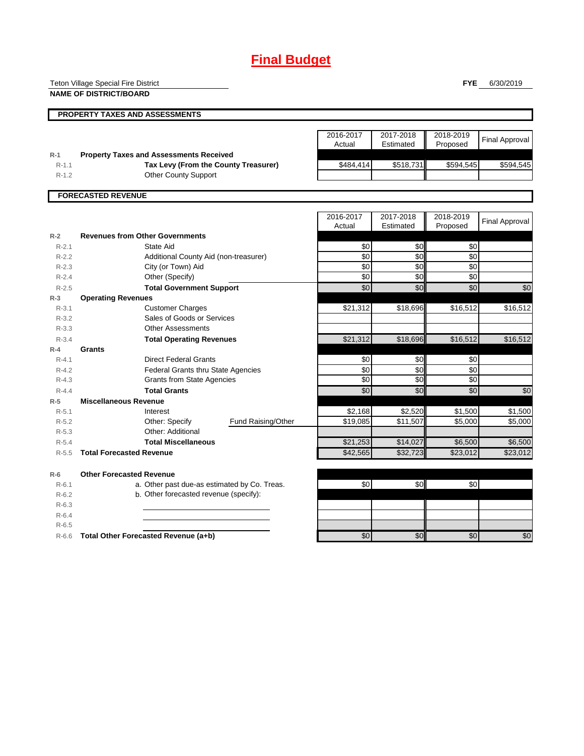## **Final Budget**

Teton Village Special Fire District

**NAME OF DISTRICT/BOARD**

**FYE** 6/30/2019

|           | <b>PROPERTY TAXES AND ASSESSMENTS</b>          |                     |                        |                       |                       |
|-----------|------------------------------------------------|---------------------|------------------------|-----------------------|-----------------------|
|           |                                                |                     |                        |                       |                       |
|           |                                                | 2016-2017<br>Actual | 2017-2018<br>Estimated | 2018-2019<br>Proposed | <b>Final Approval</b> |
| $R-1$     | <b>Property Taxes and Assessments Received</b> |                     |                        |                       |                       |
| $R-1.1$   | Tax Levy (From the County Treasurer)           | \$484,414           | \$518,731              | \$594.545             | \$594,545             |
| $R-1.2$   | <b>Other County Support</b>                    |                     |                        |                       |                       |
|           | <b>FORECASTED REVENUE</b>                      |                     |                        |                       |                       |
|           |                                                |                     |                        |                       |                       |
|           |                                                | 2016-2017           | 2017-2018              | 2018-2019             |                       |
|           |                                                | Actual              | Estimated              | Proposed              | <b>Final Approval</b> |
| $R-2$     | <b>Revenues from Other Governments</b>         |                     |                        |                       |                       |
| $R - 2.1$ | State Aid                                      | \$0                 | \$0                    | \$0                   |                       |
| $R-2.2$   | Additional County Aid (non-treasurer)          | \$0                 | \$0                    | \$0                   |                       |
| $R - 2.3$ | City (or Town) Aid                             | \$0                 | \$0                    | \$0                   |                       |
| $R - 2.4$ | Other (Specify)                                | \$0                 | \$0                    | \$0                   |                       |
| $R - 2.5$ | <b>Total Government Support</b>                | \$0                 | \$0                    | \$0                   | \$0                   |
| $R-3$     | <b>Operating Revenues</b>                      |                     |                        |                       |                       |
| $R-3.1$   | <b>Customer Charges</b>                        | \$21,312            | \$18,696               | \$16,512              | \$16,512              |
| $R - 3.2$ | Sales of Goods or Services                     |                     |                        |                       |                       |
| $R - 3.3$ | <b>Other Assessments</b>                       |                     |                        |                       |                       |
| $R - 3.4$ | <b>Total Operating Revenues</b>                | \$21,312            | \$18,696               | \$16,512              | \$16,512              |
| $R - 4$   | <b>Grants</b>                                  |                     |                        |                       |                       |
| $R - 4.1$ | <b>Direct Federal Grants</b>                   | \$0                 | \$0                    | \$0                   |                       |
| $R - 4.2$ | Federal Grants thru State Agencies             | \$0                 | \$0                    | \$0                   |                       |
| $R - 4.3$ | <b>Grants from State Agencies</b>              | \$0                 | \$0                    | \$0                   |                       |
| $R - 4.4$ | <b>Total Grants</b>                            | \$0                 | \$0                    | \$0                   | \$0                   |
| $R-5$     | <b>Miscellaneous Revenue</b>                   |                     |                        |                       |                       |
| $R - 5.1$ | Interest                                       | \$2,168             | \$2,520                | \$1,500               | \$1,500               |
| $R-5.2$   | Other: Specify<br>Fund Raising/Other           | \$19,085            | \$11,507               | \$5,000               | \$5,000               |
| $R - 5.3$ | Other: Additional                              |                     |                        |                       |                       |
| $R - 5.4$ | <b>Total Miscellaneous</b>                     | \$21,253            | \$14,027               | \$6,500               | \$6,500               |
| $R - 5.5$ | <b>Total Forecasted Revenue</b>                | \$42.565            | \$32,723               | \$23,012              | \$23,012              |

**R-6 Other Forecasted Revenue** R-6.1 a. Other past due-as estimated by Co. Treas. \$0 \$0 \$0 R-6.2 b. Other forecasted revenue (specify): R-6.3 R-6.4 R-6.5

R-6.6 **Total Other Forecasted Revenue (a+b) 12 \ 12 \ 12 \ 12 \ 13 \ 30** \$0 \$0 \$0 \$0 \$0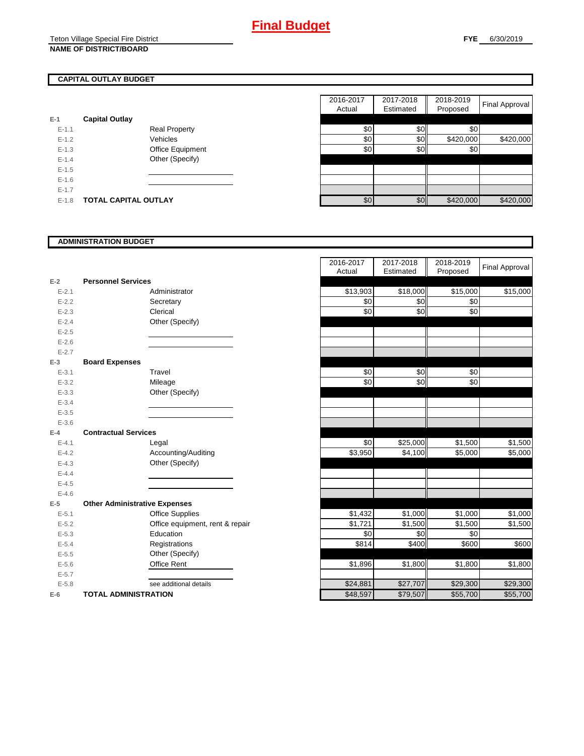## **CAPITAL OUTLAY BUDGET**

| $E-1$     | <b>Capital Outlay</b> |                         |
|-----------|-----------------------|-------------------------|
| $E - 1.1$ |                       | <b>Real Property</b>    |
| $E - 1.2$ |                       | Vehicles                |
| $E - 1.3$ |                       | <b>Office Equipment</b> |
| $F-14$    |                       | Other (Specify)         |
| $F-1.5$   |                       |                         |
| $E - 1.6$ |                       |                         |
| $E - 1.7$ |                       |                         |
| E-1.8     | TOTAL CAPITAL OUTLAY  |                         |

|           |                             |                      | 2016-2017 | 2017-2018  | 2018-2019 |                |
|-----------|-----------------------------|----------------------|-----------|------------|-----------|----------------|
|           |                             |                      | Actual    | Estimated  | Proposed  | Final Approval |
|           | <b>Capital Outlay</b>       |                      |           |            |           |                |
| $E-1.1$   |                             | <b>Real Property</b> | \$0       | \$0        | \$0       |                |
| $E - 1.2$ |                             | Vehicles             | \$0       | <b>\$0</b> | \$420,000 | \$420,000      |
| $E-1.3$   |                             | Office Equipment     | \$0       | \$0        | \$0       |                |
| $E - 1.4$ |                             | Other (Specify)      |           |            |           |                |
| $E-1.5$   |                             |                      |           |            |           |                |
| $E-1.6$   |                             |                      |           |            |           |                |
| $E - 1.7$ |                             |                      |           |            |           |                |
| $E-1.8$   | <b>TOTAL CAPITAL OUTLAY</b> |                      | \$0       | \$0        | \$420,000 | \$420,000      |

#### **ADMINISTRATION BUDGET**

|           |                                      |                                 | Actual   | Esumated | Proposed |
|-----------|--------------------------------------|---------------------------------|----------|----------|----------|
| $E-2$     | <b>Personnel Services</b>            |                                 |          |          |          |
| $E - 2.1$ |                                      | Administrator                   | \$13,903 | \$18,000 | \$15,000 |
| $E-2.2$   |                                      | Secretary                       | \$0      | \$0      | \$0      |
| $E - 2.3$ |                                      | Clerical                        | \$0      | \$0      | \$0      |
| $E - 2.4$ |                                      | Other (Specify)                 |          |          |          |
| $E - 2.5$ |                                      |                                 |          |          |          |
| $E - 2.6$ |                                      |                                 |          |          |          |
| $E - 2.7$ |                                      |                                 |          |          |          |
| $E-3$     | <b>Board Expenses</b>                |                                 |          |          |          |
| $E - 3.1$ |                                      | Travel                          | \$0      | \$0      | \$0      |
| $E - 3.2$ |                                      | Mileage                         | \$0      | \$0      | \$0      |
| $E - 3.3$ |                                      | Other (Specify)                 |          |          |          |
| $E - 3.4$ |                                      |                                 |          |          |          |
| $E - 3.5$ |                                      |                                 |          |          |          |
| $E - 3.6$ |                                      |                                 |          |          |          |
| $E-4$     | <b>Contractual Services</b>          |                                 |          |          |          |
| $E - 4.1$ |                                      | Legal                           | \$0      | \$25,000 | \$1,500  |
| $E - 4.2$ |                                      | Accounting/Auditing             | \$3,950  | \$4,100  | \$5,000  |
| $E - 4.3$ |                                      | Other (Specify)                 |          |          |          |
| $E - 4.4$ |                                      |                                 |          |          |          |
| $E - 4.5$ |                                      |                                 |          |          |          |
| $E-4.6$   |                                      |                                 |          |          |          |
| $E-5$     | <b>Other Administrative Expenses</b> |                                 |          |          |          |
| $E - 5.1$ |                                      | Office Supplies                 | \$1,432  | \$1,000  | \$1,000  |
| $E - 5.2$ |                                      | Office equipment, rent & repair | \$1,721  | \$1,500  | \$1,500  |
| $E - 5.3$ |                                      | Education                       | \$0      | \$0      | \$0      |
| $E - 5.4$ |                                      | Registrations                   | \$814    | \$400    | \$600    |
| $E-5.5$   |                                      | Other (Specify)                 |          |          |          |
| $E - 5.6$ |                                      | <b>Office Rent</b>              | \$1,896  | \$1,800  | \$1,800  |
| $E - 5.7$ |                                      |                                 |          |          |          |
| $E - 5.8$ |                                      | see additional details          | \$24,881 | \$27,707 | \$29,300 |
| $E-6$     | <b>TOTAL ADMINISTRATION</b>          |                                 | \$48,597 | \$79,507 | \$55,700 |

|           |                                      | 2016-2017 | 2017-2018 | 2018-2019 | <b>Final Approval</b> |
|-----------|--------------------------------------|-----------|-----------|-----------|-----------------------|
|           |                                      | Actual    | Estimated | Proposed  |                       |
| $E-2$     | <b>Personnel Services</b>            |           |           |           |                       |
| $E - 2.1$ | Administrator                        | \$13,903  | \$18,000  | \$15,000  | \$15,000              |
| $E - 2.2$ | Secretary                            | \$0       | \$0       | \$0       |                       |
| $E - 2.3$ | Clerical                             | \$0       | \$0       | \$0       |                       |
| $E - 2.4$ | Other (Specify)                      |           |           |           |                       |
| $E - 2.5$ |                                      |           |           |           |                       |
| $E - 2.6$ |                                      |           |           |           |                       |
| $E - 2.7$ |                                      |           |           |           |                       |
| $E-3$     | <b>Board Expenses</b>                |           |           |           |                       |
| $E - 3.1$ | Travel                               | \$0       | \$0       | \$0       |                       |
| $E - 3.2$ | Mileage                              | \$0       | \$0       | \$0       |                       |
| $E - 3.3$ | Other (Specify)                      |           |           |           |                       |
| $E - 3.4$ |                                      |           |           |           |                       |
| $E - 3.5$ |                                      |           |           |           |                       |
| $E - 3.6$ |                                      |           |           |           |                       |
| $E-4$     | <b>Contractual Services</b>          |           |           |           |                       |
| $E - 4.1$ | Legal                                | \$0       | \$25,000  | \$1,500   | \$1,500               |
| $E - 4.2$ | Accounting/Auditing                  | \$3,950   | \$4,100   | \$5,000   | \$5,000               |
| $E - 4.3$ | Other (Specify)                      |           |           |           |                       |
| $E - 4.4$ |                                      |           |           |           |                       |
| $E-4.5$   |                                      |           |           |           |                       |
| $E - 4.6$ |                                      |           |           |           |                       |
| $E-5$     | <b>Other Administrative Expenses</b> |           |           |           |                       |
| $E - 5.1$ | <b>Office Supplies</b>               | \$1,432   | \$1,000   | \$1,000   | \$1,000               |
| $E - 5.2$ | Office equipment, rent & repair      | \$1,721   | \$1,500   | \$1,500   | \$1,500               |
| $E - 5.3$ | Education                            | \$0       | \$0       | \$0       |                       |
| $E - 5.4$ | Registrations                        | \$814     | \$400     | \$600     | \$600                 |
| $E - 5.5$ | Other (Specify)                      |           |           |           |                       |
| $E-5.6$   | Office Rent                          | \$1,896   | \$1,800   | \$1,800   | \$1,800               |
| $E - 5.7$ |                                      |           |           |           |                       |
| $E - 5.8$ | see additional details               | \$24,881  | \$27,707  | \$29,300  | \$29,300              |
| $E-6$     | <b>TOTAL ADMINISTRATION</b>          | \$48,597  | \$79,507  | \$55,700  | \$55,700              |
|           |                                      |           |           |           |                       |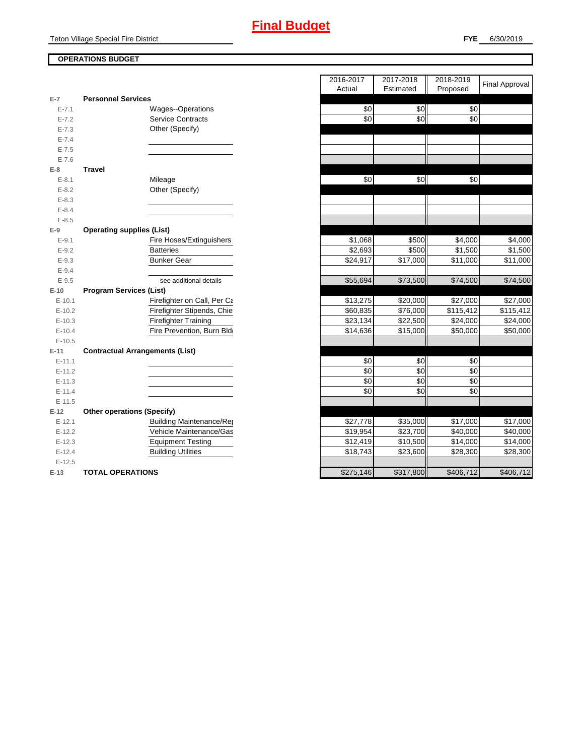## **OPERATIONS BUDGET**

| $E-7$      | <b>Personnel Services</b>              |           |           |           |
|------------|----------------------------------------|-----------|-----------|-----------|
| $E - 7.1$  | Wages--Operations                      | \$0       | \$0       | \$0       |
| $E - 7.2$  | <b>Service Contracts</b>               | \$0       | \$0       | \$0       |
| $E - 7.3$  | Other (Specify)                        |           |           |           |
| $E - 7.4$  |                                        |           |           |           |
| $E - 7.5$  |                                        |           |           |           |
| $E - 7.6$  |                                        |           |           |           |
| $E-8$      | <b>Travel</b>                          |           |           |           |
| $E - 8.1$  | Mileage                                | \$0       | \$0       | \$0       |
| $E - 8.2$  | Other (Specify)                        |           |           |           |
| $E - 8.3$  |                                        |           |           |           |
| $E - 8.4$  |                                        |           |           |           |
| $E - 8.5$  |                                        |           |           |           |
| $E-9$      | <b>Operating supplies (List)</b>       |           |           |           |
| $E - 9.1$  | Fire Hoses/Extinguishers               | \$1,068   | \$500     | \$4,000   |
| $E - 9.2$  | <b>Batteries</b>                       | \$2,693   | \$500     | \$1,500   |
| $E - 9.3$  | <b>Bunker Gear</b>                     | \$24,917  | \$17,000  | \$11,000  |
| $E - 9.4$  |                                        |           |           |           |
| $E - 9.5$  | see additional details                 | \$55,694  | \$73,500  | \$74,500  |
| $E-10$     | <b>Program Services (List)</b>         |           |           |           |
| $E - 10.1$ | Firefighter on Call, Per Ca            | \$13,275  | \$20,000  | \$27,000  |
| $E-10.2$   | Firefighter Stipends, Chie             | \$60,835  | \$76,000  | \$115,412 |
| $E-10.3$   | <b>Firefighter Training</b>            | \$23,134  | \$22,500  | \$24,000  |
| $E-10.4$   | Fire Prevention, Burn Bld              | \$14,636  | \$15,000  | \$50,000  |
| $E-10.5$   |                                        |           |           |           |
| $E-11$     | <b>Contractual Arrangements (List)</b> |           |           |           |
| $E-11.1$   |                                        | \$0       | \$0       | \$0       |
| $E-11.2$   |                                        | \$0       | \$0       | \$0       |
| $E-11.3$   |                                        | \$0       | \$0       | \$0       |
| $E-11.4$   |                                        | \$0       | \$0       | \$0       |
| $E-11.5$   |                                        |           |           |           |
| $E-12$     | <b>Other operations (Specify)</b>      |           |           |           |
| $E-12.1$   | <b>Building Maintenance/Rep</b>        | \$27,778  | \$35,000  | \$17,000  |
| $E-12.2$   | Vehicle Maintenance/Gas                | \$19,954  | \$23,700  | \$40,000  |
| $E-12.3$   | <b>Equipment Testing</b>               | \$12,419  | \$10,500  | \$14,000  |
| $E-12.4$   | <b>Building Utilities</b>              | \$18,743  | \$23,600  | \$28,300  |
| $E-12.5$   |                                        |           |           |           |
| $E-13$     | <b>TOTAL OPERATIONS</b>                | \$275,146 | \$317,800 | \$406,712 |

|                |                                        | 2016-2017 | 2017-2018            | 2018-2019 | <b>Final Approval</b> |
|----------------|----------------------------------------|-----------|----------------------|-----------|-----------------------|
|                |                                        | Actual    | Estimated            | Proposed  |                       |
| $\overline{7}$ | <b>Personnel Services</b>              |           |                      |           |                       |
| $E - 7.1$      | <b>Wages--Operations</b>               | \$0       | \$0                  | \$0       |                       |
| $E - 7.2$      | <b>Service Contracts</b>               | \$0       | \$0                  | \$0       |                       |
| $E - 7.3$      | Other (Specify)                        |           |                      |           |                       |
| $E - 7.4$      |                                        |           |                      |           |                       |
| $E - 7.5$      |                                        |           |                      |           |                       |
| $E - 7.6$      |                                        |           |                      |           |                       |
| 8              | <b>Travel</b>                          |           |                      |           |                       |
| $E - 8.1$      | Mileage                                | \$0       | \$0                  | \$0       |                       |
| $E - 8.2$      | Other (Specify)                        |           |                      |           |                       |
| $E - 8.3$      |                                        |           |                      |           |                       |
| $E - 8.4$      |                                        |           |                      |           |                       |
| $E - 8.5$      |                                        |           |                      |           |                       |
| 9              | <b>Operating supplies (List)</b>       |           |                      |           |                       |
| $E-9.1$        | Fire Hoses/Extinguishers               | \$1,068   | \$500                | \$4,000   | \$4,000               |
| $E-9.2$        | <b>Batteries</b>                       | \$2,693   | \$500                | \$1,500   | $\overline{\$1,500}$  |
| $E - 9.3$      | Bunker Gear                            | \$24,917  | \$17,000             | \$11,000  | \$11,000              |
| $E - 9.4$      |                                        |           |                      |           |                       |
| $E - 9.5$      | see additional details                 | \$55,694  | \$73,500             | \$74,500  | \$74,500              |
| 10             | <b>Program Services (List)</b>         |           |                      |           |                       |
| $E-10.1$       | Firefighter on Call, Per Ca            | \$13,275  | \$20,000             | \$27,000  | \$27,000              |
| $E-10.2$       | Firefighter Stipends, Chie             | \$60,835  | \$76,000             | \$115,412 | \$115,412             |
| $E-10.3$       | <b>Firefighter Training</b>            | \$23,134  | $\overline{$}22,500$ | \$24,000  | \$24,000              |
| $E-10.4$       | Fire Prevention, Burn Bld              | \$14,636  | \$15,000             | \$50,000  | \$50,000              |
| $E-10.5$       |                                        |           |                      |           |                       |
| $-11$          | <b>Contractual Arrangements (List)</b> |           |                      |           |                       |
| $E-11.1$       |                                        | \$0       | \$0                  | \$0       |                       |
| $E-11.2$       |                                        | \$0       | \$0                  | \$0       |                       |
| $E-11.3$       |                                        | \$0       | \$0                  | \$0       |                       |
| $E-11.4$       |                                        | \$0       | \$0                  | \$0       |                       |
| $E-11.5$       |                                        |           |                      |           |                       |
| 12             | <b>Other operations (Specify)</b>      |           |                      |           |                       |
| $E-12.1$       | <b>Building Maintenance/Rep</b>        | \$27,778  | \$35,000             | \$17,000  | \$17,000              |
| $E-12.2$       | Vehicle Maintenance/Gas                | \$19,954  | \$23,700             | \$40,000  | \$40,000              |
| $E-12.3$       | <b>Equipment Testing</b>               | \$12,419  | \$10,500             | \$14,000  | \$14,000              |
| $E-12.4$       | <b>Building Utilities</b>              | \$18,743  | \$23,600             | \$28,300  | \$28,300              |
| $E-12.5$       |                                        |           |                      |           |                       |
| ·13            | <b>TOTAL OPERATIONS</b>                | \$275.146 | \$317,800            | \$406,712 | \$406,712             |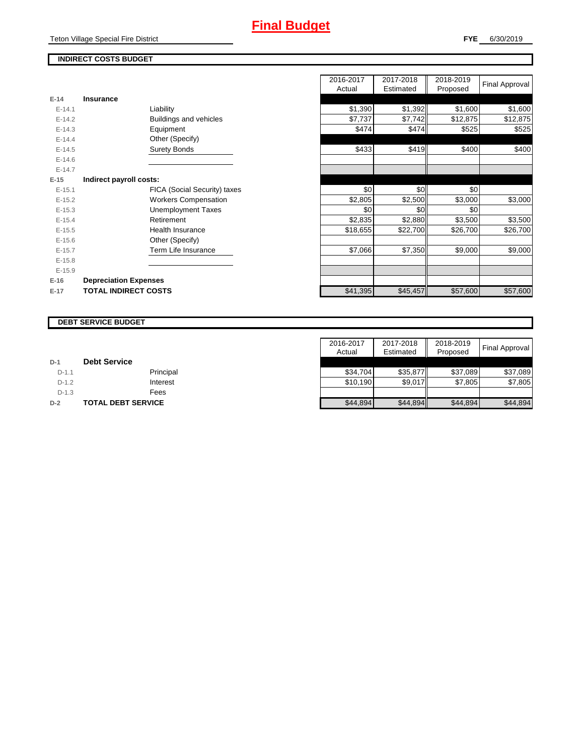## **INDIRECT COSTS BUDGET**

|          |                              | Auudi    | Estimated | <b>FIUPUSEU</b> |
|----------|------------------------------|----------|-----------|-----------------|
| $E-14$   | <b>Insurance</b>             |          |           |                 |
| $E-14.1$ | Liability                    | \$1,390  | \$1,392   | \$1,600         |
| $E-14.2$ | Buildings and vehicles       | \$7,737  | \$7,742   | \$12,875        |
| $E-14.3$ | Equipment                    | \$474    | \$474     | \$525           |
| $E-14.4$ | Other (Specify)              |          |           |                 |
| $E-14.5$ | <b>Surety Bonds</b>          | \$433    | \$419     | \$400           |
| $E-14.6$ |                              |          |           |                 |
| $E-14.7$ |                              |          |           |                 |
| $E-15$   | Indirect payroll costs:      |          |           |                 |
| $E-15.1$ | FICA (Social Security) taxes | \$0      | \$0       | \$0             |
| $E-15.2$ | <b>Workers Compensation</b>  | \$2,805  | \$2,500   | \$3,000         |
| $E-15.3$ | Unemployment Taxes           | \$0      | \$0       | \$0             |
| $E-15.4$ | Retirement                   | \$2,835  | \$2,880   | \$3,500         |
| $E-15.5$ | Health Insurance             | \$18,655 | \$22,700  | \$26,700        |
| $E-15.6$ | Other (Specify)              |          |           |                 |
| $E-15.7$ | Term Life Insurance          | \$7,066  | \$7,350   | \$9,000         |
| $E-15.8$ |                              |          |           |                 |
| $E-15.9$ |                              |          |           |                 |
| $E-16$   | <b>Depreciation Expenses</b> |          |           |                 |
| $E-17$   | <b>TOTAL INDIRECT COSTS</b>  | \$41,395 | \$45,457  | \$57,600        |
|          |                              |          |           |                 |

|          |                              | 2016-2017<br>Actual | 2017-2018<br>Estimated | 2018-2019<br>Proposed | <b>Final Approval</b> |
|----------|------------------------------|---------------------|------------------------|-----------------------|-----------------------|
| $E-14$   | Insurance                    |                     |                        |                       |                       |
| $E-14.1$ | Liability                    | \$1,390             | \$1,392                | \$1,600               | \$1,600               |
| $E-14.2$ | Buildings and vehicles       | \$7,737             | \$7,742                | \$12,875              | \$12,875              |
| $E-14.3$ | Equipment                    | \$474               | \$474                  | \$525                 | \$525                 |
| $E-14.4$ | Other (Specify)              |                     |                        |                       |                       |
| $E-14.5$ | <b>Surety Bonds</b>          | \$433               | \$419                  | \$400                 | \$400                 |
| $E-14.6$ |                              |                     |                        |                       |                       |
| $E-14.7$ |                              |                     |                        |                       |                       |
| $E-15$   | Indirect payroll costs:      |                     |                        |                       |                       |
| $E-15.1$ | FICA (Social Security) taxes | \$0                 | \$0                    | \$0                   |                       |
| $E-15.2$ | <b>Workers Compensation</b>  | \$2,805             | \$2,500                | \$3,000               | \$3,000               |
| $E-15.3$ | <b>Unemployment Taxes</b>    | \$0                 | \$0 <sub>1</sub>       | \$0                   |                       |
| $E-15.4$ | Retirement                   | \$2,835             | \$2,880                | \$3,500               | \$3,500               |
| $E-15.5$ | <b>Health Insurance</b>      | \$18,655            | \$22,700               | \$26,700              | \$26,700              |
| $E-15.6$ | Other (Specify)              |                     |                        |                       |                       |
| $E-15.7$ | Term Life Insurance          | \$7,066             | \$7,350                | \$9,000               | \$9,000               |
| $E-15.8$ |                              |                     |                        |                       |                       |
| $E-15.9$ |                              |                     |                        |                       |                       |
| $E-16$   | <b>Depreciation Expenses</b> |                     |                        |                       |                       |
| $E-17$   | <b>TOTAL INDIRECT COSTS</b>  | \$41,395            | \$45,457               | \$57,600              | \$57,600              |
|          |                              |                     |                        |                       |                       |

#### **DEBT SERVICE BUDGET**

|         |                           | 2016-2017 | 2017-2018 | 2018-2019 | <b>Final Approval</b> |
|---------|---------------------------|-----------|-----------|-----------|-----------------------|
|         |                           | Actual    | Estimated | Proposed  |                       |
| $D-1$   | <b>Debt Service</b>       |           |           |           |                       |
| $D-1.1$ | Principal                 | \$34.704  | \$35,877  | \$37.089  | \$37,089              |
| $D-1.2$ | Interest                  | \$10,190  | \$9,017   | \$7,805   | \$7,805               |
| $D-1.3$ | Fees                      |           |           |           |                       |
| $D-2$   | <b>TOTAL DEBT SERVICE</b> | \$44,894  | \$44,894  | \$44,894  | \$44,894              |

#### Teton Village Special Fire District